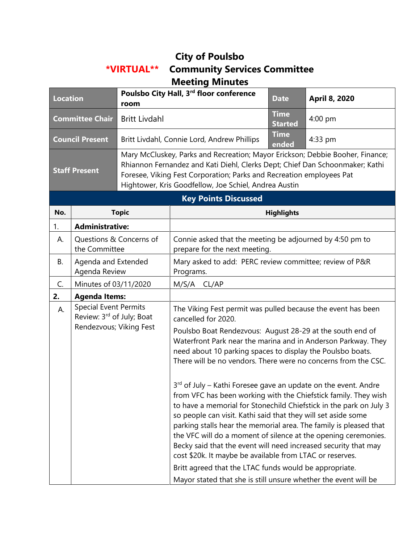## **City of Poulsbo \*VIRTUAL\*\* Community Services Committee Meeting Minutes**

| <b>Location</b>             |                                                                                      | Poulsbo City Hall, 3rd floor conference<br>room                                                                                                                                                                                                                                                |                                                                                                                                                                                                                                                                                                                                                                                                                                                                                                                                                            | <b>Date</b>                   | April 8, 2020 |  |
|-----------------------------|--------------------------------------------------------------------------------------|------------------------------------------------------------------------------------------------------------------------------------------------------------------------------------------------------------------------------------------------------------------------------------------------|------------------------------------------------------------------------------------------------------------------------------------------------------------------------------------------------------------------------------------------------------------------------------------------------------------------------------------------------------------------------------------------------------------------------------------------------------------------------------------------------------------------------------------------------------------|-------------------------------|---------------|--|
| <b>Committee Chair</b>      |                                                                                      | <b>Britt Livdahl</b>                                                                                                                                                                                                                                                                           |                                                                                                                                                                                                                                                                                                                                                                                                                                                                                                                                                            | <b>Time</b><br><b>Started</b> | 4:00 pm       |  |
| <b>Council Present</b>      |                                                                                      |                                                                                                                                                                                                                                                                                                | Britt Livdahl, Connie Lord, Andrew Phillips                                                                                                                                                                                                                                                                                                                                                                                                                                                                                                                | <b>Time</b><br>ended          | 4:33 pm       |  |
| <b>Staff Present</b>        |                                                                                      | Mary McCluskey, Parks and Recreation; Mayor Erickson; Debbie Booher, Finance;<br>Rhiannon Fernandez and Kati Diehl, Clerks Dept; Chief Dan Schoonmaker; Kathi<br>Foresee, Viking Fest Corporation; Parks and Recreation employees Pat<br>Hightower, Kris Goodfellow, Joe Schiel, Andrea Austin |                                                                                                                                                                                                                                                                                                                                                                                                                                                                                                                                                            |                               |               |  |
| <b>Key Points Discussed</b> |                                                                                      |                                                                                                                                                                                                                                                                                                |                                                                                                                                                                                                                                                                                                                                                                                                                                                                                                                                                            |                               |               |  |
| No.                         | <b>Topic</b>                                                                         |                                                                                                                                                                                                                                                                                                | <b>Highlights</b>                                                                                                                                                                                                                                                                                                                                                                                                                                                                                                                                          |                               |               |  |
| 1.                          | <b>Administrative:</b>                                                               |                                                                                                                                                                                                                                                                                                |                                                                                                                                                                                                                                                                                                                                                                                                                                                                                                                                                            |                               |               |  |
| А.                          | Questions & Concerns of<br>the Committee                                             |                                                                                                                                                                                                                                                                                                | Connie asked that the meeting be adjourned by 4:50 pm to<br>prepare for the next meeting.                                                                                                                                                                                                                                                                                                                                                                                                                                                                  |                               |               |  |
| В.                          | Agenda and Extended<br>Agenda Review                                                 |                                                                                                                                                                                                                                                                                                | Mary asked to add: PERC review committee; review of P&R<br>Programs.                                                                                                                                                                                                                                                                                                                                                                                                                                                                                       |                               |               |  |
| C.                          | Minutes of 03/11/2020                                                                |                                                                                                                                                                                                                                                                                                | M/S/A CL/AP                                                                                                                                                                                                                                                                                                                                                                                                                                                                                                                                                |                               |               |  |
| 2.                          | <b>Agenda Items:</b>                                                                 |                                                                                                                                                                                                                                                                                                |                                                                                                                                                                                                                                                                                                                                                                                                                                                                                                                                                            |                               |               |  |
| А.                          | <b>Special Event Permits</b><br>Review: 3rd of July; Boat<br>Rendezvous; Viking Fest |                                                                                                                                                                                                                                                                                                | The Viking Fest permit was pulled because the event has been<br>cancelled for 2020.                                                                                                                                                                                                                                                                                                                                                                                                                                                                        |                               |               |  |
|                             |                                                                                      |                                                                                                                                                                                                                                                                                                | Poulsbo Boat Rendezvous: August 28-29 at the south end of<br>Waterfront Park near the marina and in Anderson Parkway. They<br>need about 10 parking spaces to display the Poulsbo boats.<br>There will be no vendors. There were no concerns from the CSC.                                                                                                                                                                                                                                                                                                 |                               |               |  |
|                             |                                                                                      |                                                                                                                                                                                                                                                                                                | 3 <sup>rd</sup> of July – Kathi Foresee gave an update on the event. Andre<br>from VFC has been working with the Chiefstick family. They wish<br>to have a memorial for Stonechild Chiefstick in the park on July 3<br>so people can visit. Kathi said that they will set aside some<br>parking stalls hear the memorial area. The family is pleased that<br>the VFC will do a moment of silence at the opening ceremonies.<br>Becky said that the event will need increased security that may<br>cost \$20k. It maybe be available from LTAC or reserves. |                               |               |  |
|                             |                                                                                      |                                                                                                                                                                                                                                                                                                | Britt agreed that the LTAC funds would be appropriate.<br>Mayor stated that she is still unsure whether the event will be                                                                                                                                                                                                                                                                                                                                                                                                                                  |                               |               |  |